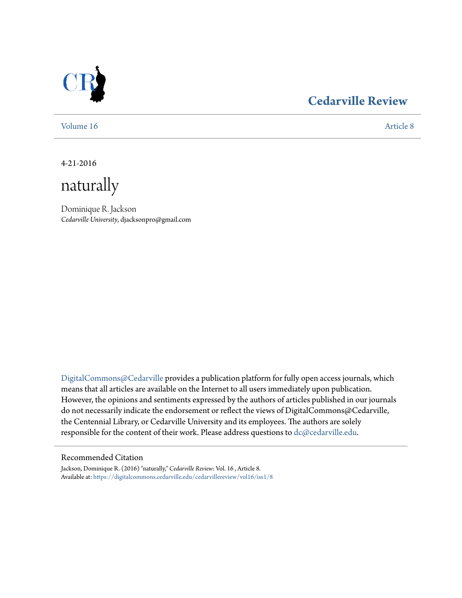

### **[Cedarville Review](https://digitalcommons.cedarville.edu/cedarvillereview?utm_source=digitalcommons.cedarville.edu%2Fcedarvillereview%2Fvol16%2Fiss1%2F8&utm_medium=PDF&utm_campaign=PDFCoverPages)**

[Volume 16](https://digitalcommons.cedarville.edu/cedarvillereview/vol16?utm_source=digitalcommons.cedarville.edu%2Fcedarvillereview%2Fvol16%2Fiss1%2F8&utm_medium=PDF&utm_campaign=PDFCoverPages) [Article 8](https://digitalcommons.cedarville.edu/cedarvillereview/vol16/iss1/8?utm_source=digitalcommons.cedarville.edu%2Fcedarvillereview%2Fvol16%2Fiss1%2F8&utm_medium=PDF&utm_campaign=PDFCoverPages)

4-21-2016

naturally

Dominique R. Jackson *Cedarville University*, djacksonpro@gmail.com

[DigitalCommons@Cedarville](http://digitalcommons.cedarville.edu) provides a publication platform for fully open access journals, which means that all articles are available on the Internet to all users immediately upon publication. However, the opinions and sentiments expressed by the authors of articles published in our journals do not necessarily indicate the endorsement or reflect the views of DigitalCommons@Cedarville, the Centennial Library, or Cedarville University and its employees. The authors are solely responsible for the content of their work. Please address questions to [dc@cedarville.edu](mailto:dc@cedarville.edu).

#### Recommended Citation

Jackson, Dominique R. (2016) "naturally," *Cedarville Review*: Vol. 16 , Article 8. Available at: [https://digitalcommons.cedarville.edu/cedarvillereview/vol16/iss1/8](https://digitalcommons.cedarville.edu/cedarvillereview/vol16/iss1/8?utm_source=digitalcommons.cedarville.edu%2Fcedarvillereview%2Fvol16%2Fiss1%2F8&utm_medium=PDF&utm_campaign=PDFCoverPages)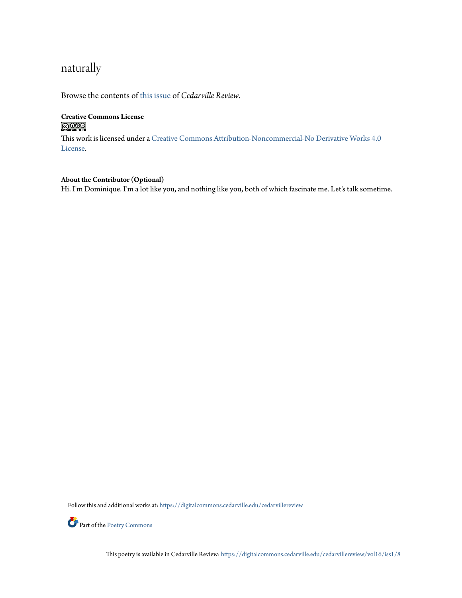## naturally

Browse the contents of [this issue](https://digitalcommons.cedarville.edu/cedarvillereview/vol16/iss1) of *Cedarville Review*.

#### **Creative Commons License**  $\bigcirc$   $\circ$

This work is licensed under a [Creative Commons Attribution-Noncommercial-No Derivative Works 4.0](http://creativecommons.org/licenses/by-nc-nd/4.0/) [License.](http://creativecommons.org/licenses/by-nc-nd/4.0/)

#### **About the Contributor (Optional)**

Hi. I'm Dominique. I'm a lot like you, and nothing like you, both of which fascinate me. Let's talk sometime.

Follow this and additional works at: [https://digitalcommons.cedarville.edu/cedarvillereview](https://digitalcommons.cedarville.edu/cedarvillereview?utm_source=digitalcommons.cedarville.edu%2Fcedarvillereview%2Fvol16%2Fiss1%2F8&utm_medium=PDF&utm_campaign=PDFCoverPages)



Part of the [Poetry Commons](http://network.bepress.com/hgg/discipline/1153?utm_source=digitalcommons.cedarville.edu%2Fcedarvillereview%2Fvol16%2Fiss1%2F8&utm_medium=PDF&utm_campaign=PDFCoverPages)

This poetry is available in Cedarville Review: [https://digitalcommons.cedarville.edu/cedarvillereview/vol16/iss1/8](https://digitalcommons.cedarville.edu/cedarvillereview/vol16/iss1/8?utm_source=digitalcommons.cedarville.edu%2Fcedarvillereview%2Fvol16%2Fiss1%2F8&utm_medium=PDF&utm_campaign=PDFCoverPages)